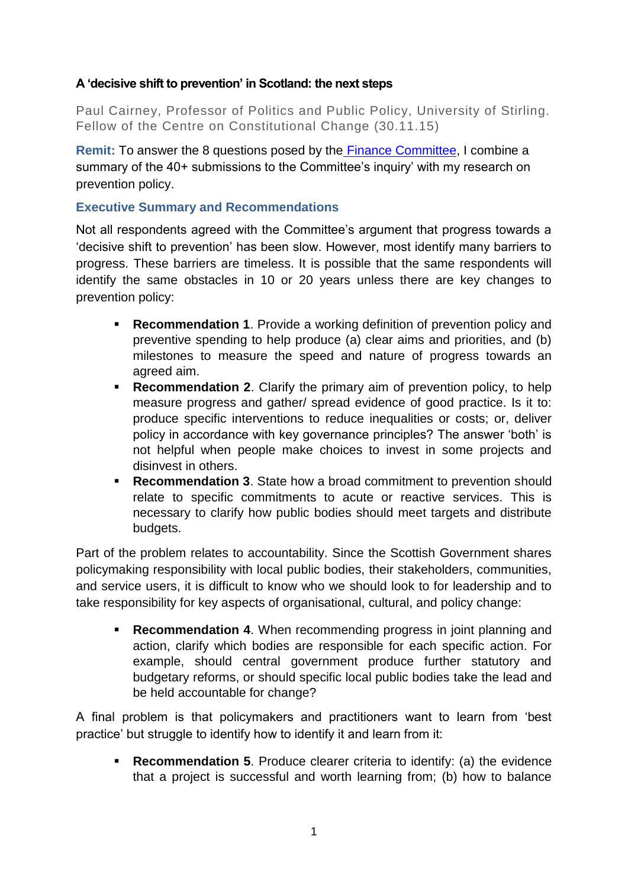## **A 'decisive shift to prevention' in Scotland: the next steps**

Paul Cairney, Professor of Politics and Public Policy, University of Stirling. Fellow of the Centre on Constitutional Change (30.11.15)

**Remit:** To answer the 8 questions posed by the [Finance Committee,](http://www.scottish.parliament.uk/parliamentarybusiness/CurrentCommittees/91916.aspx#sthash.qb6pCA5k.dpuf) I combine a summary of the 40+ submissions to the Committee's inquiry' with my research on prevention policy.

## **Executive Summary and Recommendations**

Not all respondents agreed with the Committee's argument that progress towards a 'decisive shift to prevention' has been slow. However, most identify many barriers to progress. These barriers are timeless. It is possible that the same respondents will identify the same obstacles in 10 or 20 years unless there are key changes to prevention policy:

- **Recommendation 1**. Provide a working definition of prevention policy and preventive spending to help produce (a) clear aims and priorities, and (b) milestones to measure the speed and nature of progress towards an agreed aim.
- **Recommendation 2.** Clarify the primary aim of prevention policy, to help measure progress and gather/ spread evidence of good practice. Is it to: produce specific interventions to reduce inequalities or costs; or, deliver policy in accordance with key governance principles? The answer 'both' is not helpful when people make choices to invest in some projects and disinvest in others.
- **Recommendation 3**. State how a broad commitment to prevention should relate to specific commitments to acute or reactive services. This is necessary to clarify how public bodies should meet targets and distribute budgets.

Part of the problem relates to accountability. Since the Scottish Government shares policymaking responsibility with local public bodies, their stakeholders, communities, and service users, it is difficult to know who we should look to for leadership and to take responsibility for key aspects of organisational, cultural, and policy change:

 **Recommendation 4**. When recommending progress in joint planning and action, clarify which bodies are responsible for each specific action. For example, should central government produce further statutory and budgetary reforms, or should specific local public bodies take the lead and be held accountable for change?

A final problem is that policymakers and practitioners want to learn from 'best practice' but struggle to identify how to identify it and learn from it:

 **Recommendation 5**. Produce clearer criteria to identify: (a) the evidence that a project is successful and worth learning from; (b) how to balance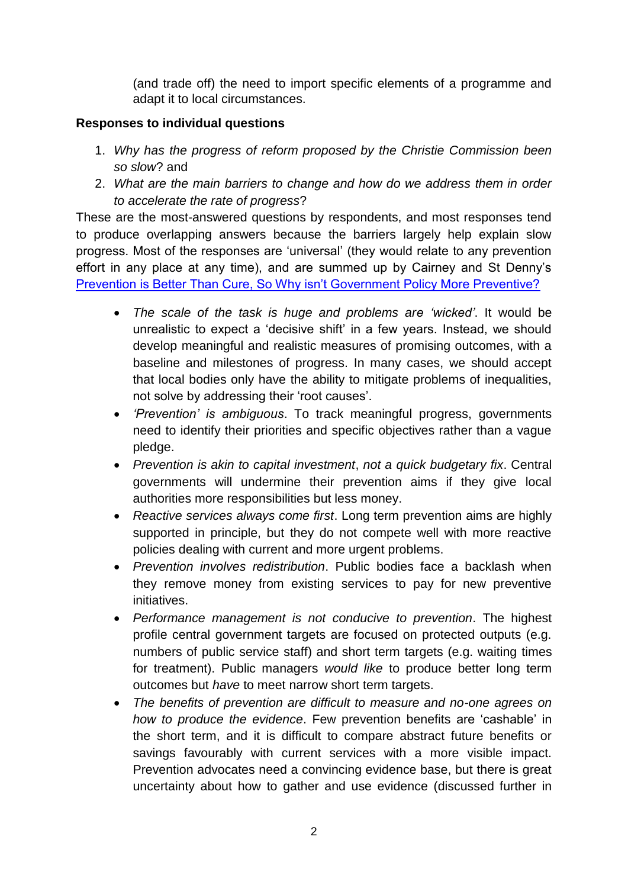(and trade off) the need to import specific elements of a programme and adapt it to local circumstances.

## **Responses to individual questions**

- 1. *Why has the progress of reform proposed by the Christie Commission been so slow*? and
- 2. *What are the main barriers to change and how do we address them in order to accelerate the rate of progress*?

These are the most-answered questions by respondents, and most responses tend to produce overlapping answers because the barriers largely help explain slow progress. Most of the responses are 'universal' (they would relate to any prevention effort in any place at any time), and are summed up by Cairney and St Denny's [Prevention is Better Than Cure, So Why isn't Government Policy More Preventive?](https://paulcairney.files.wordpress.com/2015/09/cairney-st-denny-2015-political-insight.pdf)

- *The scale of the task is huge and problems are 'wicked'*. It would be unrealistic to expect a 'decisive shift' in a few years. Instead, we should develop meaningful and realistic measures of promising outcomes, with a baseline and milestones of progress. In many cases, we should accept that local bodies only have the ability to mitigate problems of inequalities, not solve by addressing their 'root causes'.
- *'Prevention' is ambiguous*. To track meaningful progress, governments need to identify their priorities and specific objectives rather than a vague pledge.
- *Prevention is akin to capital investment*, *not a quick budgetary fix*. Central governments will undermine their prevention aims if they give local authorities more responsibilities but less money.
- *Reactive services always come first*. Long term prevention aims are highly supported in principle, but they do not compete well with more reactive policies dealing with current and more urgent problems.
- *Prevention involves redistribution*. Public bodies face a backlash when they remove money from existing services to pay for new preventive initiatives.
- *Performance management is not conducive to prevention*. The highest profile central government targets are focused on protected outputs (e.g. numbers of public service staff) and short term targets (e.g. waiting times for treatment). Public managers *would like* to produce better long term outcomes but *have* to meet narrow short term targets.
- *The benefits of prevention are difficult to measure and no-one agrees on how to produce the evidence*. Few prevention benefits are 'cashable' in the short term, and it is difficult to compare abstract future benefits or savings favourably with current services with a more visible impact. Prevention advocates need a convincing evidence base, but there is great uncertainty about how to gather and use evidence (discussed further in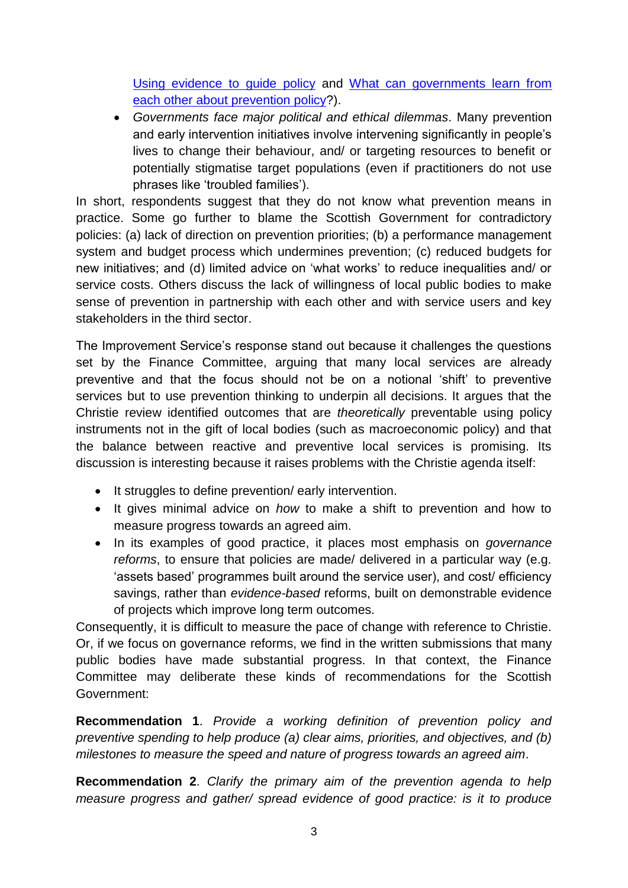[Using evidence to guide policy](https://paulcairney.files.wordpress.com/2015/09/cairney-2015-lgiu-using-evidence-for-policy.pdf) and [What can governments learn from](https://paulcairney.files.wordpress.com/2015/09/cairney-2015-what-can-governments-learn-from-each-other-about-prevention-policy.pdf)  [each other about prevention policy?](https://paulcairney.files.wordpress.com/2015/09/cairney-2015-what-can-governments-learn-from-each-other-about-prevention-policy.pdf)).

 *Governments face major political and ethical dilemmas*. Many prevention and early intervention initiatives involve intervening significantly in people's lives to change their behaviour, and/ or targeting resources to benefit or potentially stigmatise target populations (even if practitioners do not use phrases like 'troubled families').

In short, respondents suggest that they do not know what prevention means in practice. Some go further to blame the Scottish Government for contradictory policies: (a) lack of direction on prevention priorities; (b) a performance management system and budget process which undermines prevention; (c) reduced budgets for new initiatives; and (d) limited advice on 'what works' to reduce inequalities and/ or service costs. Others discuss the lack of willingness of local public bodies to make sense of prevention in partnership with each other and with service users and key stakeholders in the third sector.

The Improvement Service's response stand out because it challenges the questions set by the Finance Committee, arguing that many local services are already preventive and that the focus should not be on a notional 'shift' to preventive services but to use prevention thinking to underpin all decisions. It argues that the Christie review identified outcomes that are *theoretically* preventable using policy instruments not in the gift of local bodies (such as macroeconomic policy) and that the balance between reactive and preventive local services is promising. Its discussion is interesting because it raises problems with the Christie agenda itself:

- It struggles to define prevention/ early intervention.
- It gives minimal advice on *how* to make a shift to prevention and how to measure progress towards an agreed aim.
- In its examples of good practice, it places most emphasis on *governance reforms*, to ensure that policies are made/ delivered in a particular way (e.g. 'assets based' programmes built around the service user), and cost/ efficiency savings, rather than *evidence-based* reforms, built on demonstrable evidence of projects which improve long term outcomes.

Consequently, it is difficult to measure the pace of change with reference to Christie. Or, if we focus on governance reforms, we find in the written submissions that many public bodies have made substantial progress. In that context, the Finance Committee may deliberate these kinds of recommendations for the Scottish Government:

**Recommendation 1**. *Provide a working definition of prevention policy and preventive spending to help produce (a) clear aims, priorities, and objectives, and (b) milestones to measure the speed and nature of progress towards an agreed aim*.

**Recommendation 2**. *Clarify the primary aim of the prevention agenda to help measure progress and gather/ spread evidence of good practice: is it to produce*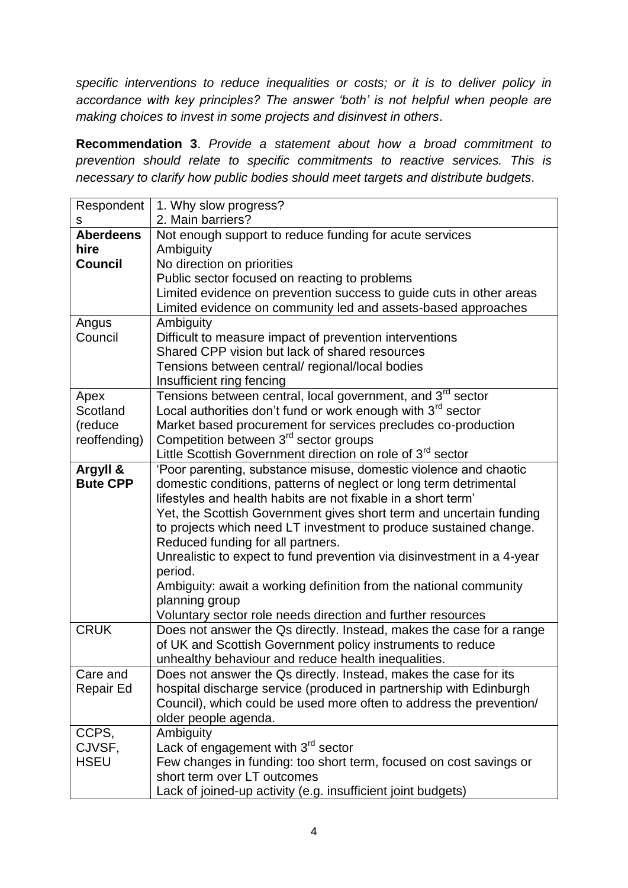*specific interventions to reduce inequalities or costs; or it is to deliver policy in accordance with key principles? The answer 'both' is not helpful when people are making choices to invest in some projects and disinvest in others*.

**Recommendation 3**. *Provide a statement about how a broad commitment to prevention should relate to specific commitments to reactive services. This is necessary to clarify how public bodies should meet targets and distribute budgets*.

| Respondent       | 1. Why slow progress?                                                  |
|------------------|------------------------------------------------------------------------|
| s                | 2. Main barriers?                                                      |
| <b>Aberdeens</b> | Not enough support to reduce funding for acute services                |
| hire             | Ambiguity                                                              |
| <b>Council</b>   | No direction on priorities                                             |
|                  | Public sector focused on reacting to problems                          |
|                  | Limited evidence on prevention success to guide cuts in other areas    |
|                  | Limited evidence on community led and assets-based approaches          |
| Angus            | Ambiguity                                                              |
| Council          | Difficult to measure impact of prevention interventions                |
|                  | Shared CPP vision but lack of shared resources                         |
|                  | Tensions between central/ regional/local bodies                        |
|                  | Insufficient ring fencing                                              |
| Apex             | Tensions between central, local government, and 3 <sup>rd</sup> sector |
| Scotland         | Local authorities don't fund or work enough with $3^{rd}$ sector       |
| (reduce          | Market based procurement for services precludes co-production          |
| reoffending)     | Competition between 3 <sup>rd</sup> sector groups                      |
|                  | Little Scottish Government direction on role of 3 <sup>rd</sup> sector |
| Argyll &         | 'Poor parenting, substance misuse, domestic violence and chaotic       |
| <b>Bute CPP</b>  | domestic conditions, patterns of neglect or long term detrimental      |
|                  | lifestyles and health habits are not fixable in a short term'          |
|                  | Yet, the Scottish Government gives short term and uncertain funding    |
|                  | to projects which need LT investment to produce sustained change.      |
|                  | Reduced funding for all partners.                                      |
|                  | Unrealistic to expect to fund prevention via disinvestment in a 4-year |
|                  | period.                                                                |
|                  | Ambiguity: await a working definition from the national community      |
|                  | planning group                                                         |
|                  | Voluntary sector role needs direction and further resources            |
| <b>CRUK</b>      | Does not answer the Qs directly. Instead, makes the case for a range   |
|                  | of UK and Scottish Government policy instruments to reduce             |
|                  | unhealthy behaviour and reduce health inequalities.                    |
| Care and         | Does not answer the Qs directly. Instead, makes the case for its       |
| Repair Ed        | hospital discharge service (produced in partnership with Edinburgh     |
|                  | Council), which could be used more often to address the prevention/    |
|                  | older people agenda.                                                   |
| CCPS,            | Ambiguity                                                              |
| CJVSF,           | Lack of engagement with 3 <sup>rd</sup> sector                         |
| <b>HSEU</b>      | Few changes in funding: too short term, focused on cost savings or     |
|                  | short term over LT outcomes                                            |
|                  | Lack of joined-up activity (e.g. insufficient joint budgets)           |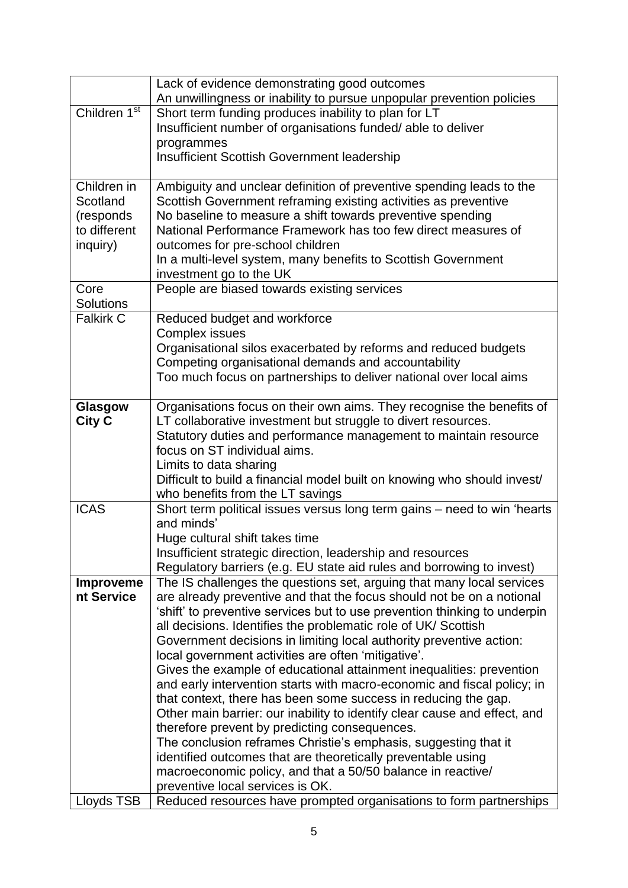|                            | Lack of evidence demonstrating good outcomes<br>An unwillingness or inability to pursue unpopular prevention policies                     |
|----------------------------|-------------------------------------------------------------------------------------------------------------------------------------------|
| Children 1 <sup>st</sup>   | Short term funding produces inability to plan for LT                                                                                      |
|                            | Insufficient number of organisations funded/able to deliver                                                                               |
|                            | programmes                                                                                                                                |
|                            | <b>Insufficient Scottish Government leadership</b>                                                                                        |
|                            |                                                                                                                                           |
| Children in                | Ambiguity and unclear definition of preventive spending leads to the                                                                      |
| Scotland                   | Scottish Government reframing existing activities as preventive<br>No baseline to measure a shift towards preventive spending             |
| (responds)<br>to different | National Performance Framework has too few direct measures of                                                                             |
| inquiry)                   | outcomes for pre-school children                                                                                                          |
|                            | In a multi-level system, many benefits to Scottish Government                                                                             |
|                            | investment go to the UK                                                                                                                   |
| Core                       | People are biased towards existing services                                                                                               |
| Solutions                  |                                                                                                                                           |
| <b>Falkirk C</b>           | Reduced budget and workforce                                                                                                              |
|                            | <b>Complex issues</b>                                                                                                                     |
|                            | Organisational silos exacerbated by reforms and reduced budgets                                                                           |
|                            | Competing organisational demands and accountability                                                                                       |
|                            | Too much focus on partnerships to deliver national over local aims                                                                        |
| Glasgow                    | Organisations focus on their own aims. They recognise the benefits of                                                                     |
| <b>City C</b>              | LT collaborative investment but struggle to divert resources.                                                                             |
|                            | Statutory duties and performance management to maintain resource                                                                          |
|                            | focus on ST individual aims.                                                                                                              |
|                            | Limits to data sharing                                                                                                                    |
|                            | Difficult to build a financial model built on knowing who should invest/                                                                  |
|                            | who benefits from the LT savings                                                                                                          |
| <b>ICAS</b>                | Short term political issues versus long term gains - need to win 'hearts<br>and minds'                                                    |
|                            | Huge cultural shift takes time                                                                                                            |
|                            | Insufficient strategic direction, leadership and resources                                                                                |
|                            | Regulatory barriers (e.g. EU state aid rules and borrowing to invest)                                                                     |
| <b>Improveme</b>           | The IS challenges the questions set, arguing that many local services                                                                     |
| nt Service                 | are already preventive and that the focus should not be on a notional                                                                     |
|                            | 'shift' to preventive services but to use prevention thinking to underpin                                                                 |
|                            | all decisions. Identifies the problematic role of UK/ Scottish                                                                            |
|                            | Government decisions in limiting local authority preventive action:                                                                       |
|                            | local government activities are often 'mitigative'.                                                                                       |
|                            | Gives the example of educational attainment inequalities: prevention                                                                      |
|                            | and early intervention starts with macro-economic and fiscal policy; in<br>that context, there has been some success in reducing the gap. |
|                            | Other main barrier: our inability to identify clear cause and effect, and                                                                 |
|                            | therefore prevent by predicting consequences.                                                                                             |
|                            | The conclusion reframes Christie's emphasis, suggesting that it                                                                           |
|                            | identified outcomes that are theoretically preventable using                                                                              |
|                            | macroeconomic policy, and that a 50/50 balance in reactive/                                                                               |
|                            | preventive local services is OK.                                                                                                          |
| Lloyds TSB                 | Reduced resources have prompted organisations to form partnerships                                                                        |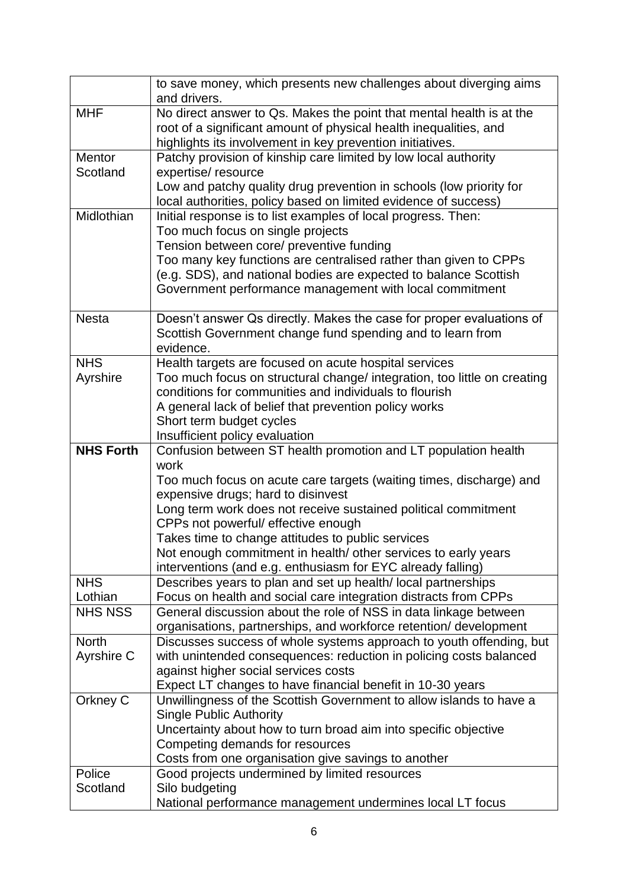|                    | to save money, which presents new challenges about diverging aims<br>and drivers.                                           |
|--------------------|-----------------------------------------------------------------------------------------------------------------------------|
| <b>MHF</b>         | No direct answer to Qs. Makes the point that mental health is at the                                                        |
|                    | root of a significant amount of physical health inequalities, and                                                           |
|                    | highlights its involvement in key prevention initiatives.                                                                   |
| Mentor             | Patchy provision of kinship care limited by low local authority                                                             |
| Scotland           | expertise/ resource                                                                                                         |
|                    | Low and patchy quality drug prevention in schools (low priority for                                                         |
|                    | local authorities, policy based on limited evidence of success)                                                             |
| Midlothian         | Initial response is to list examples of local progress. Then:                                                               |
|                    | Too much focus on single projects                                                                                           |
|                    | Tension between core/ preventive funding                                                                                    |
|                    | Too many key functions are centralised rather than given to CPPs                                                            |
|                    | (e.g. SDS), and national bodies are expected to balance Scottish<br>Government performance management with local commitment |
|                    |                                                                                                                             |
| <b>Nesta</b>       | Doesn't answer Qs directly. Makes the case for proper evaluations of                                                        |
|                    | Scottish Government change fund spending and to learn from                                                                  |
|                    | evidence.                                                                                                                   |
| <b>NHS</b>         | Health targets are focused on acute hospital services                                                                       |
| Ayrshire           | Too much focus on structural change/ integration, too little on creating                                                    |
|                    | conditions for communities and individuals to flourish                                                                      |
|                    | A general lack of belief that prevention policy works                                                                       |
|                    | Short term budget cycles                                                                                                    |
|                    | Insufficient policy evaluation                                                                                              |
| <b>NHS Forth</b>   | Confusion between ST health promotion and LT population health<br>work                                                      |
|                    | Too much focus on acute care targets (waiting times, discharge) and                                                         |
|                    | expensive drugs; hard to disinvest                                                                                          |
|                    | Long term work does not receive sustained political commitment                                                              |
|                    | CPPs not powerful/ effective enough                                                                                         |
|                    | Takes time to change attitudes to public services                                                                           |
|                    | Not enough commitment in health/ other services to early years                                                              |
|                    | interventions (and e.g. enthusiasm for EYC already falling)                                                                 |
| <b>NHS</b>         | Describes years to plan and set up health/local partnerships                                                                |
| Lothian            | Focus on health and social care integration distracts from CPPs                                                             |
| <b>NHS NSS</b>     | General discussion about the role of NSS in data linkage between                                                            |
|                    | organisations, partnerships, and workforce retention/ development                                                           |
| <b>North</b>       | Discusses success of whole systems approach to youth offending, but                                                         |
| Ayrshire C         | with unintended consequences: reduction in policing costs balanced                                                          |
|                    | against higher social services costs                                                                                        |
|                    | Expect LT changes to have financial benefit in 10-30 years                                                                  |
| Orkney C           | Unwillingness of the Scottish Government to allow islands to have a<br><b>Single Public Authority</b>                       |
|                    |                                                                                                                             |
|                    |                                                                                                                             |
|                    | Uncertainty about how to turn broad aim into specific objective                                                             |
|                    | Competing demands for resources                                                                                             |
|                    | Costs from one organisation give savings to another                                                                         |
| Police<br>Scotland | Good projects undermined by limited resources<br>Silo budgeting                                                             |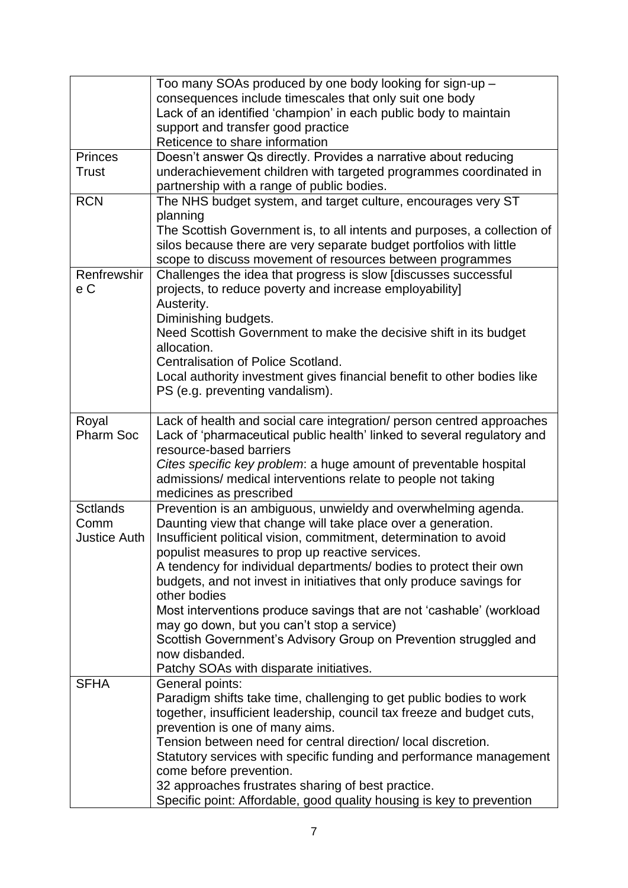|                     | Too many SOAs produced by one body looking for sign-up -                                       |
|---------------------|------------------------------------------------------------------------------------------------|
|                     | consequences include timescales that only suit one body                                        |
|                     | Lack of an identified 'champion' in each public body to maintain                               |
|                     | support and transfer good practice                                                             |
|                     | Reticence to share information                                                                 |
| <b>Princes</b>      | Doesn't answer Qs directly. Provides a narrative about reducing                                |
| <b>Trust</b>        | underachievement children with targeted programmes coordinated in                              |
|                     | partnership with a range of public bodies.                                                     |
| <b>RCN</b>          | The NHS budget system, and target culture, encourages very ST                                  |
|                     | planning                                                                                       |
|                     | The Scottish Government is, to all intents and purposes, a collection of                       |
|                     | silos because there are very separate budget portfolios with little                            |
|                     | scope to discuss movement of resources between programmes                                      |
| Renfrewshir         | Challenges the idea that progress is slow [discusses successful                                |
| e C                 | projects, to reduce poverty and increase employability]                                        |
|                     | Austerity.                                                                                     |
|                     | Diminishing budgets.                                                                           |
|                     | Need Scottish Government to make the decisive shift in its budget                              |
|                     | allocation.                                                                                    |
|                     | Centralisation of Police Scotland.                                                             |
|                     | Local authority investment gives financial benefit to other bodies like                        |
|                     | PS (e.g. preventing vandalism).                                                                |
|                     |                                                                                                |
| Royal               | Lack of health and social care integration/ person centred approaches                          |
| <b>Pharm Soc</b>    | Lack of 'pharmaceutical public health' linked to several regulatory and                        |
|                     | resource-based barriers                                                                        |
|                     | Cites specific key problem: a huge amount of preventable hospital                              |
|                     | admissions/ medical interventions relate to people not taking                                  |
|                     | medicines as prescribed                                                                        |
| <b>Sctlands</b>     | Prevention is an ambiguous, unwieldy and overwhelming agenda.                                  |
| Comm                | Daunting view that change will take place over a generation.                                   |
| <b>Justice Auth</b> | Insufficient political vision, commitment, determination to avoid                              |
|                     | populist measures to prop up reactive services.                                                |
|                     | A tendency for individual departments/ bodies to protect their own                             |
|                     | budgets, and not invest in initiatives that only produce savings for                           |
|                     | other bodies                                                                                   |
|                     | Most interventions produce savings that are not 'cashable' (workload                           |
|                     | may go down, but you can't stop a service)                                                     |
|                     | Scottish Government's Advisory Group on Prevention struggled and                               |
|                     | now disbanded.                                                                                 |
|                     | Patchy SOAs with disparate initiatives.                                                        |
| <b>SFHA</b>         | General points:                                                                                |
|                     | Paradigm shifts take time, challenging to get public bodies to work                            |
|                     | together, insufficient leadership, council tax freeze and budget cuts,                         |
|                     | prevention is one of many aims.                                                                |
|                     | Tension between need for central direction/local discretion.                                   |
|                     | Statutory services with specific funding and performance management<br>come before prevention. |
|                     | 32 approaches frustrates sharing of best practice.                                             |
|                     | Specific point: Affordable, good quality housing is key to prevention                          |
|                     |                                                                                                |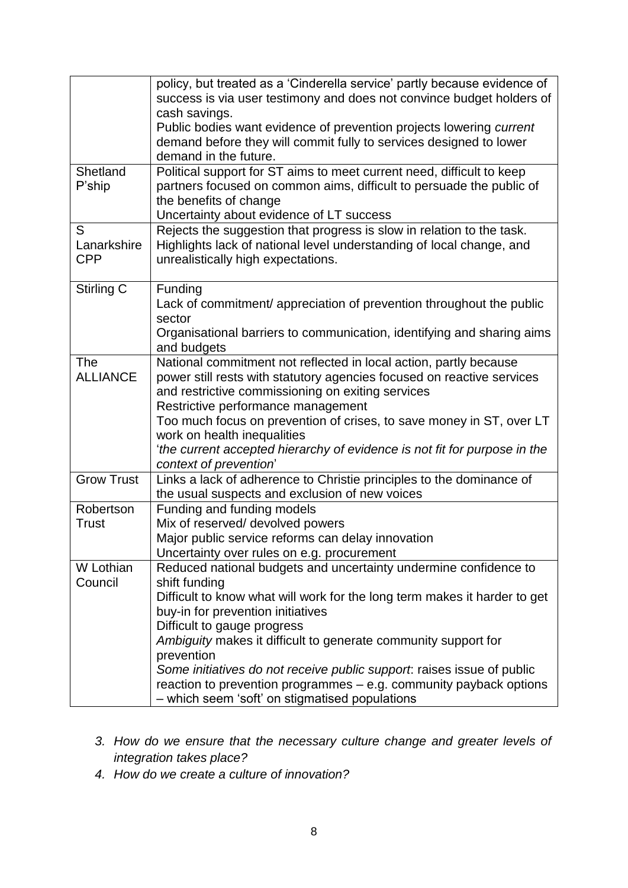|                   | policy, but treated as a 'Cinderella service' partly because evidence of<br>success is via user testimony and does not convince budget holders of |
|-------------------|---------------------------------------------------------------------------------------------------------------------------------------------------|
|                   | cash savings.                                                                                                                                     |
|                   | Public bodies want evidence of prevention projects lowering current                                                                               |
|                   | demand before they will commit fully to services designed to lower                                                                                |
|                   | demand in the future.                                                                                                                             |
| Shetland          | Political support for ST aims to meet current need, difficult to keep                                                                             |
| P'ship            | partners focused on common aims, difficult to persuade the public of<br>the benefits of change                                                    |
|                   | Uncertainty about evidence of LT success                                                                                                          |
| S                 | Rejects the suggestion that progress is slow in relation to the task.                                                                             |
| Lanarkshire       | Highlights lack of national level understanding of local change, and                                                                              |
| <b>CPP</b>        | unrealistically high expectations.                                                                                                                |
| Stirling C        | Funding                                                                                                                                           |
|                   | Lack of commitment/ appreciation of prevention throughout the public<br>sector                                                                    |
|                   | Organisational barriers to communication, identifying and sharing aims                                                                            |
|                   | and budgets                                                                                                                                       |
| <b>The</b>        | National commitment not reflected in local action, partly because                                                                                 |
| <b>ALLIANCE</b>   | power still rests with statutory agencies focused on reactive services                                                                            |
|                   | and restrictive commissioning on exiting services                                                                                                 |
|                   | Restrictive performance management                                                                                                                |
|                   | Too much focus on prevention of crises, to save money in ST, over LT<br>work on health inequalities                                               |
|                   | the current accepted hierarchy of evidence is not fit for purpose in the                                                                          |
|                   | context of prevention'                                                                                                                            |
| <b>Grow Trust</b> | Links a lack of adherence to Christie principles to the dominance of                                                                              |
|                   | the usual suspects and exclusion of new voices                                                                                                    |
| Robertson         | Funding and funding models                                                                                                                        |
| Trust             | Mix of reserved/ devolved powers                                                                                                                  |
|                   | Major public service reforms can delay innovation                                                                                                 |
| W Lothian         | Uncertainty over rules on e.g. procurement<br>Reduced national budgets and uncertainty undermine confidence to                                    |
| Council           | shift funding                                                                                                                                     |
|                   | Difficult to know what will work for the long term makes it harder to get                                                                         |
|                   | buy-in for prevention initiatives                                                                                                                 |
|                   | Difficult to gauge progress                                                                                                                       |
|                   | Ambiguity makes it difficult to generate community support for                                                                                    |
|                   | prevention                                                                                                                                        |
|                   | Some initiatives do not receive public support: raises issue of public                                                                            |
|                   | reaction to prevention programmes - e.g. community payback options                                                                                |
|                   | - which seem 'soft' on stigmatised populations                                                                                                    |

- *3. How do we ensure that the necessary culture change and greater levels of integration takes place?*
- *4. How do we create a culture of innovation?*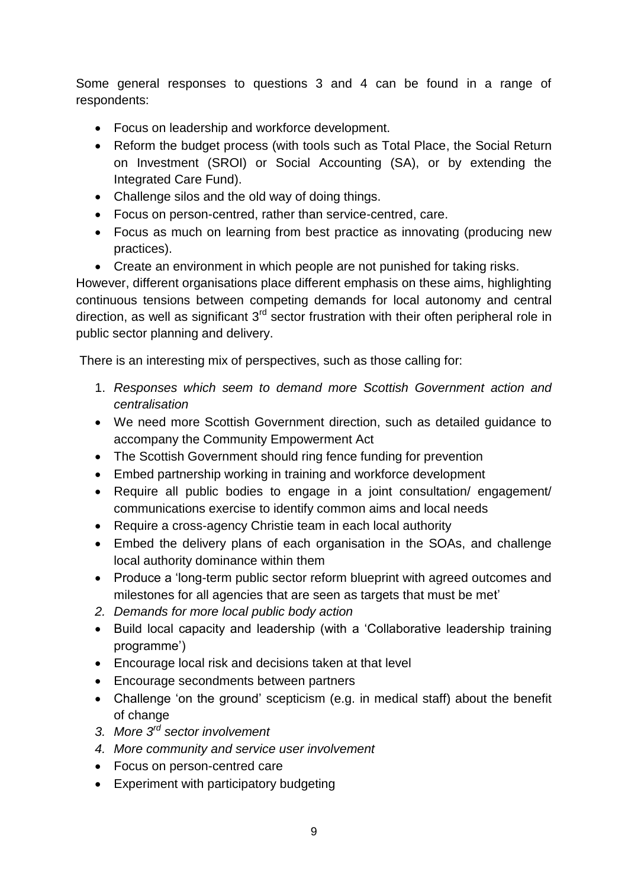Some general responses to questions 3 and 4 can be found in a range of respondents:

- Focus on leadership and workforce development.
- Reform the budget process (with tools such as Total Place, the Social Return on Investment (SROI) or Social Accounting (SA), or by extending the Integrated Care Fund).
- Challenge silos and the old way of doing things.
- Focus on person-centred, rather than service-centred, care.
- Focus as much on learning from best practice as innovating (producing new practices).
- Create an environment in which people are not punished for taking risks.

However, different organisations place different emphasis on these aims, highlighting continuous tensions between competing demands for local autonomy and central direction, as well as significant  $3<sup>rd</sup>$  sector frustration with their often peripheral role in public sector planning and delivery.

There is an interesting mix of perspectives, such as those calling for:

- 1. *Responses which seem to demand more Scottish Government action and centralisation*
- We need more Scottish Government direction, such as detailed guidance to accompany the Community Empowerment Act
- The Scottish Government should ring fence funding for prevention
- Embed partnership working in training and workforce development
- Require all public bodies to engage in a joint consultation/ engagement/ communications exercise to identify common aims and local needs
- Require a cross-agency Christie team in each local authority
- Embed the delivery plans of each organisation in the SOAs, and challenge local authority dominance within them
- Produce a 'long-term public sector reform blueprint with agreed outcomes and milestones for all agencies that are seen as targets that must be met'
- *2. Demands for more local public body action*
- Build local capacity and leadership (with a 'Collaborative leadership training programme')
- Encourage local risk and decisions taken at that level
- Encourage secondments between partners
- Challenge 'on the ground' scepticism (e.g. in medical staff) about the benefit of change
- *3. More 3rd sector involvement*
- *4. More community and service user involvement*
- Focus on person-centred care
- Experiment with participatory budgeting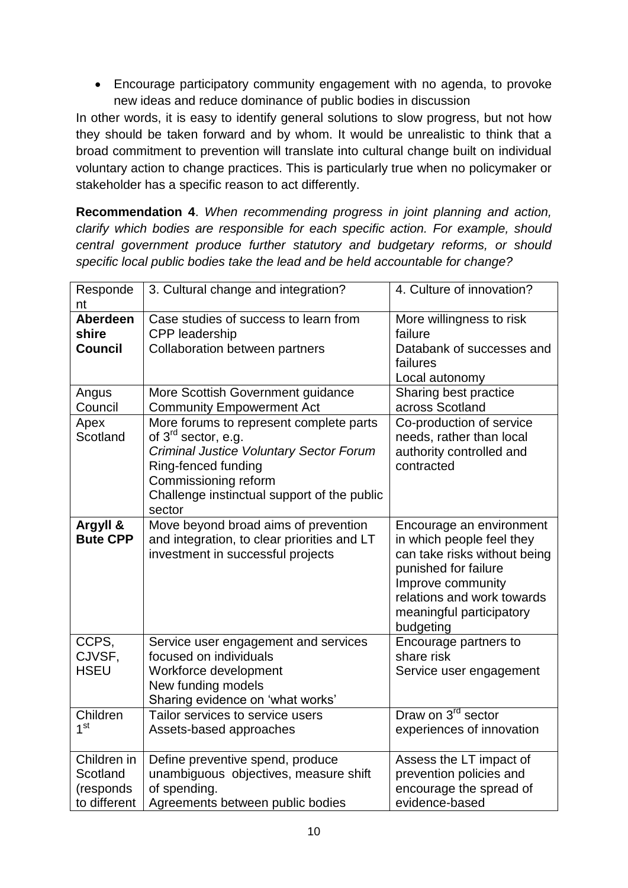Encourage participatory community engagement with no agenda, to provoke new ideas and reduce dominance of public bodies in discussion

In other words, it is easy to identify general solutions to slow progress, but not how they should be taken forward and by whom. It would be unrealistic to think that a broad commitment to prevention will translate into cultural change built on individual voluntary action to change practices. This is particularly true when no policymaker or stakeholder has a specific reason to act differently.

**Recommendation 4**. *When recommending progress in joint planning and action, clarify which bodies are responsible for each specific action. For example, should central government produce further statutory and budgetary reforms, or should specific local public bodies take the lead and be held accountable for change?*

| Responde<br>nt                                       | 3. Cultural change and integration?                                                                                                                                                                                                  | 4. Culture of innovation?                                                                                                                                                                                 |
|------------------------------------------------------|--------------------------------------------------------------------------------------------------------------------------------------------------------------------------------------------------------------------------------------|-----------------------------------------------------------------------------------------------------------------------------------------------------------------------------------------------------------|
| <b>Aberdeen</b><br>shire<br><b>Council</b>           | Case studies of success to learn from<br>CPP leadership<br><b>Collaboration between partners</b>                                                                                                                                     | More willingness to risk<br>failure<br>Databank of successes and<br>failures<br>Local autonomy                                                                                                            |
| Angus<br>Council                                     | More Scottish Government guidance<br><b>Community Empowerment Act</b>                                                                                                                                                                | Sharing best practice<br>across Scotland                                                                                                                                                                  |
| Apex<br>Scotland                                     | More forums to represent complete parts<br>of 3 <sup>rd</sup> sector, e.g.<br><b>Criminal Justice Voluntary Sector Forum</b><br>Ring-fenced funding<br>Commissioning reform<br>Challenge instinctual support of the public<br>sector | Co-production of service<br>needs, rather than local<br>authority controlled and<br>contracted                                                                                                            |
| Argyll &<br><b>Bute CPP</b>                          | Move beyond broad aims of prevention<br>and integration, to clear priorities and LT<br>investment in successful projects                                                                                                             | Encourage an environment<br>in which people feel they<br>can take risks without being<br>punished for failure<br>Improve community<br>relations and work towards<br>meaningful participatory<br>budgeting |
| CCPS,<br>CJVSF,<br><b>HSEU</b>                       | Service user engagement and services<br>focused on individuals<br>Workforce development<br>New funding models<br>Sharing evidence on 'what works'                                                                                    | Encourage partners to<br>share risk<br>Service user engagement                                                                                                                                            |
| Children<br>1 <sup>st</sup>                          | Tailor services to service users<br>Assets-based approaches                                                                                                                                                                          | Draw on 3 <sup>rd</sup> sector<br>experiences of innovation                                                                                                                                               |
| Children in<br>Scotland<br>(responds<br>to different | Define preventive spend, produce<br>unambiguous objectives, measure shift<br>of spending.<br>Agreements between public bodies                                                                                                        | Assess the LT impact of<br>prevention policies and<br>encourage the spread of<br>evidence-based                                                                                                           |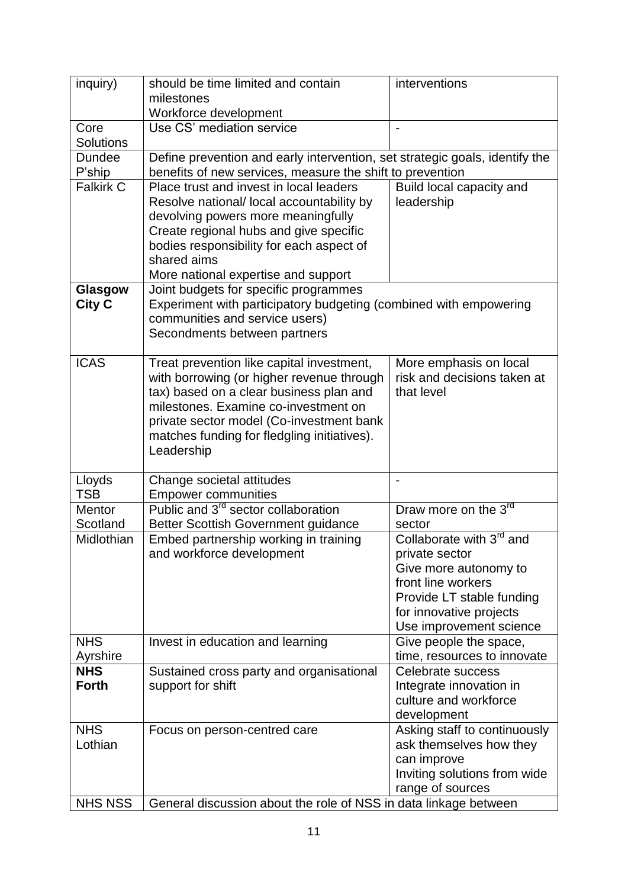| inquiry)                          | should be time limited and contain                                                                                                       | interventions                                    |
|-----------------------------------|------------------------------------------------------------------------------------------------------------------------------------------|--------------------------------------------------|
|                                   | milestones                                                                                                                               |                                                  |
|                                   | Workforce development                                                                                                                    |                                                  |
| Core                              | Use CS' mediation service                                                                                                                | $\overline{a}$                                   |
| <b>Solutions</b><br><b>Dundee</b> |                                                                                                                                          |                                                  |
| P'ship                            | Define prevention and early intervention, set strategic goals, identify the<br>benefits of new services, measure the shift to prevention |                                                  |
| <b>Falkirk C</b>                  | Place trust and invest in local leaders                                                                                                  | Build local capacity and                         |
|                                   | Resolve national/ local accountability by                                                                                                | leadership                                       |
|                                   | devolving powers more meaningfully                                                                                                       |                                                  |
|                                   | Create regional hubs and give specific                                                                                                   |                                                  |
|                                   | bodies responsibility for each aspect of                                                                                                 |                                                  |
|                                   | shared aims                                                                                                                              |                                                  |
|                                   | More national expertise and support                                                                                                      |                                                  |
| Glasgow                           | Joint budgets for specific programmes                                                                                                    |                                                  |
| <b>City C</b>                     | Experiment with participatory budgeting (combined with empowering<br>communities and service users)                                      |                                                  |
|                                   | Secondments between partners                                                                                                             |                                                  |
|                                   |                                                                                                                                          |                                                  |
| <b>ICAS</b>                       | Treat prevention like capital investment,                                                                                                | More emphasis on local                           |
|                                   | with borrowing (or higher revenue through                                                                                                | risk and decisions taken at                      |
|                                   | tax) based on a clear business plan and                                                                                                  | that level                                       |
|                                   | milestones. Examine co-investment on                                                                                                     |                                                  |
|                                   | private sector model (Co-investment bank<br>matches funding for fledgling initiatives).                                                  |                                                  |
|                                   | Leadership                                                                                                                               |                                                  |
|                                   |                                                                                                                                          |                                                  |
| Lloyds                            | Change societal attitudes                                                                                                                |                                                  |
| <b>TSB</b>                        | <b>Empower communities</b>                                                                                                               |                                                  |
| <b>Mentor</b>                     | Public and 3 <sup>rd</sup> sector collaboration                                                                                          | Draw more on the 3rd                             |
| Scotland                          | Better Scottish Government guidance                                                                                                      | sector                                           |
| Midlothian                        | Embed partnership working in training                                                                                                    | Collaborate with 3 <sup>rd</sup> and             |
|                                   | and workforce development                                                                                                                | private sector<br>Give more autonomy to          |
|                                   |                                                                                                                                          | front line workers                               |
|                                   |                                                                                                                                          | Provide LT stable funding                        |
|                                   |                                                                                                                                          | for innovative projects                          |
|                                   |                                                                                                                                          | Use improvement science                          |
| <b>NHS</b>                        | Invest in education and learning                                                                                                         | Give people the space,                           |
| Ayrshire                          |                                                                                                                                          | time, resources to innovate                      |
| <b>NHS</b>                        | Sustained cross party and organisational                                                                                                 | Celebrate success                                |
| <b>Forth</b>                      | support for shift                                                                                                                        | Integrate innovation in<br>culture and workforce |
|                                   |                                                                                                                                          | development                                      |
| <b>NHS</b>                        | Focus on person-centred care                                                                                                             | Asking staff to continuously                     |
| Lothian                           |                                                                                                                                          | ask themselves how they                          |
|                                   |                                                                                                                                          | can improve                                      |
|                                   |                                                                                                                                          | Inviting solutions from wide                     |
|                                   |                                                                                                                                          | range of sources                                 |
| NHS NSS                           | General discussion about the role of NSS in data linkage between                                                                         |                                                  |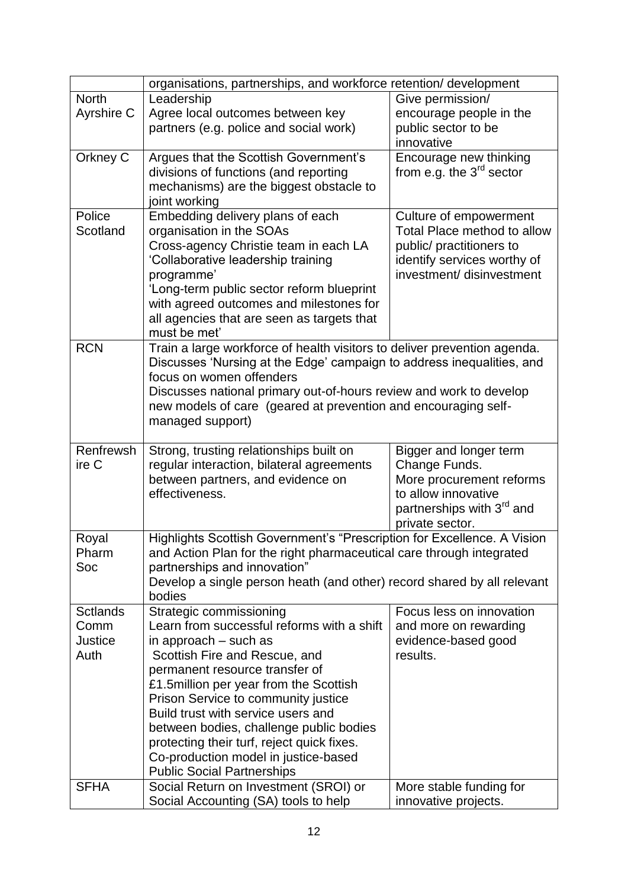|                 | organisations, partnerships, and workforce retention/ development          |                                       |  |  |
|-----------------|----------------------------------------------------------------------------|---------------------------------------|--|--|
| <b>North</b>    | Leadership                                                                 | Give permission/                      |  |  |
| Ayrshire C      | Agree local outcomes between key                                           | encourage people in the               |  |  |
|                 | partners (e.g. police and social work)                                     | public sector to be                   |  |  |
|                 |                                                                            | innovative                            |  |  |
| Orkney C        | Argues that the Scottish Government's                                      | Encourage new thinking                |  |  |
|                 | divisions of functions (and reporting                                      | from e.g. the $3rd$ sector            |  |  |
|                 | mechanisms) are the biggest obstacle to                                    |                                       |  |  |
|                 | joint working                                                              |                                       |  |  |
| Police          | Embedding delivery plans of each                                           | Culture of empowerment                |  |  |
| Scotland        | organisation in the SOAs                                                   | Total Place method to allow           |  |  |
|                 | Cross-agency Christie team in each LA                                      | public/ practitioners to              |  |  |
|                 | 'Collaborative leadership training                                         | identify services worthy of           |  |  |
|                 | programme'                                                                 | investment/ disinvestment             |  |  |
|                 | 'Long-term public sector reform blueprint                                  |                                       |  |  |
|                 | with agreed outcomes and milestones for                                    |                                       |  |  |
|                 | all agencies that are seen as targets that                                 |                                       |  |  |
|                 | must be met'                                                               |                                       |  |  |
| <b>RCN</b>      | Train a large workforce of health visitors to deliver prevention agenda.   |                                       |  |  |
|                 | Discusses 'Nursing at the Edge' campaign to address inequalities, and      |                                       |  |  |
|                 | focus on women offenders                                                   |                                       |  |  |
|                 | Discusses national primary out-of-hours review and work to develop         |                                       |  |  |
|                 | new models of care (geared at prevention and encouraging self-             |                                       |  |  |
|                 | managed support)                                                           |                                       |  |  |
|                 |                                                                            |                                       |  |  |
| Renfrewsh       | Strong, trusting relationships built on                                    | Bigger and longer term                |  |  |
|                 |                                                                            |                                       |  |  |
| ire C           | regular interaction, bilateral agreements                                  | Change Funds.                         |  |  |
|                 | between partners, and evidence on                                          | More procurement reforms              |  |  |
|                 | effectiveness.                                                             | to allow innovative                   |  |  |
|                 |                                                                            | partnerships with 3 <sup>rd</sup> and |  |  |
|                 |                                                                            | private sector.                       |  |  |
| Royal           | Highlights Scottish Government's "Prescription for Excellence. A Vision    |                                       |  |  |
| Pharm           | and Action Plan for the right pharmaceutical care through integrated       |                                       |  |  |
| Soc             | partnerships and innovation"                                               |                                       |  |  |
|                 | Develop a single person heath (and other) record shared by all relevant    |                                       |  |  |
|                 | bodies                                                                     |                                       |  |  |
| <b>Sctlands</b> | Strategic commissioning                                                    | Focus less on innovation              |  |  |
| Comm            | Learn from successful reforms with a shift                                 | and more on rewarding                 |  |  |
| Justice         | in approach – such as                                                      | evidence-based good                   |  |  |
| Auth            | Scottish Fire and Rescue, and                                              | results.                              |  |  |
|                 | permanent resource transfer of                                             |                                       |  |  |
|                 | £1.5 million per year from the Scottish                                    |                                       |  |  |
|                 | Prison Service to community justice                                        |                                       |  |  |
|                 | Build trust with service users and                                         |                                       |  |  |
|                 | between bodies, challenge public bodies                                    |                                       |  |  |
|                 | protecting their turf, reject quick fixes.                                 |                                       |  |  |
|                 | Co-production model in justice-based                                       |                                       |  |  |
| <b>SFHA</b>     | <b>Public Social Partnerships</b><br>Social Return on Investment (SROI) or | More stable funding for               |  |  |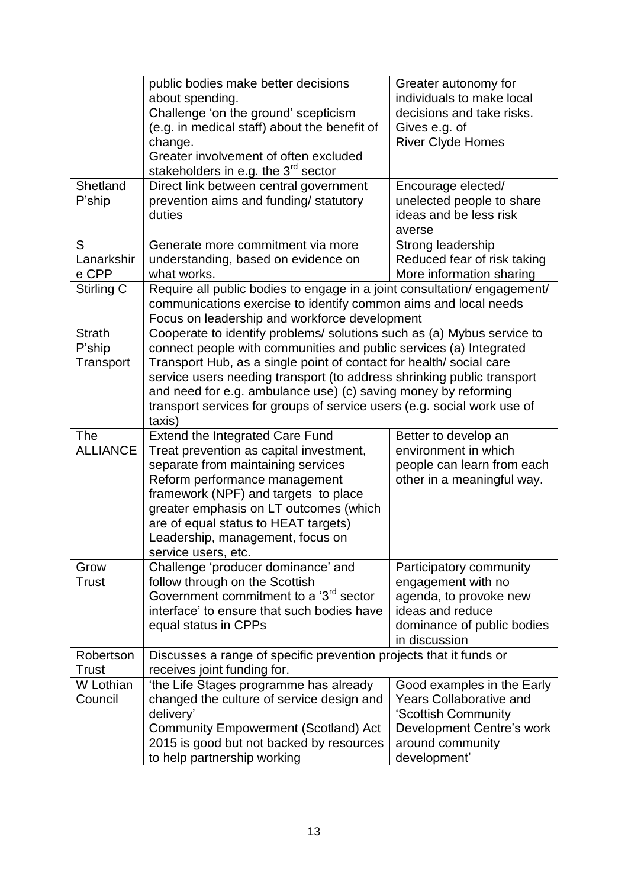|                                      | public bodies make better decisions<br>about spending.<br>Challenge 'on the ground' scepticism<br>(e.g. in medical staff) about the benefit of<br>change.<br>Greater involvement of often excluded<br>stakeholders in e.g. the 3 <sup>rd</sup> sector                                                                                                                                                                                                | Greater autonomy for<br>individuals to make local<br>decisions and take risks.<br>Gives e.g. of<br><b>River Clyde Homes</b>                          |
|--------------------------------------|------------------------------------------------------------------------------------------------------------------------------------------------------------------------------------------------------------------------------------------------------------------------------------------------------------------------------------------------------------------------------------------------------------------------------------------------------|------------------------------------------------------------------------------------------------------------------------------------------------------|
| Shetland<br>P'ship                   | Direct link between central government<br>prevention aims and funding/ statutory<br>duties                                                                                                                                                                                                                                                                                                                                                           | Encourage elected/<br>unelected people to share<br>ideas and be less risk<br>averse                                                                  |
| S<br>Lanarkshir<br>e CPP             | Generate more commitment via more<br>understanding, based on evidence on<br>what works.                                                                                                                                                                                                                                                                                                                                                              | Strong leadership<br>Reduced fear of risk taking<br>More information sharing                                                                         |
| Stirling C                           | Require all public bodies to engage in a joint consultation/engagement/<br>communications exercise to identify common aims and local needs<br>Focus on leadership and workforce development                                                                                                                                                                                                                                                          |                                                                                                                                                      |
| <b>Strath</b><br>P'ship<br>Transport | Cooperate to identify problems/ solutions such as (a) Mybus service to<br>connect people with communities and public services (a) Integrated<br>Transport Hub, as a single point of contact for health/ social care<br>service users needing transport (to address shrinking public transport<br>and need for e.g. ambulance use) (c) saving money by reforming<br>transport services for groups of service users (e.g. social work use of<br>taxis) |                                                                                                                                                      |
| <b>The</b><br><b>ALLIANCE</b>        | <b>Extend the Integrated Care Fund</b><br>Treat prevention as capital investment,<br>separate from maintaining services<br>Reform performance management<br>framework (NPF) and targets to place<br>greater emphasis on LT outcomes (which<br>are of equal status to HEAT targets)<br>Leadership, management, focus on<br>service users, etc.                                                                                                        | Better to develop an<br>environment in which<br>people can learn from each<br>other in a meaningful way.                                             |
| Grow<br><b>Trust</b>                 | Challenge 'producer dominance' and<br>follow through on the Scottish<br>Government commitment to a '3 <sup>rd</sup> sector<br>interface' to ensure that such bodies have<br>equal status in CPPs                                                                                                                                                                                                                                                     | Participatory community<br>engagement with no<br>agenda, to provoke new<br>ideas and reduce<br>dominance of public bodies<br>in discussion           |
| Robertson<br><b>Trust</b>            | Discusses a range of specific prevention projects that it funds or<br>receives joint funding for.                                                                                                                                                                                                                                                                                                                                                    |                                                                                                                                                      |
| W Lothian<br>Council                 | 'the Life Stages programme has already<br>changed the culture of service design and<br>delivery'<br><b>Community Empowerment (Scotland) Act</b><br>2015 is good but not backed by resources<br>to help partnership working                                                                                                                                                                                                                           | Good examples in the Early<br><b>Years Collaborative and</b><br>'Scottish Community<br>Development Centre's work<br>around community<br>development' |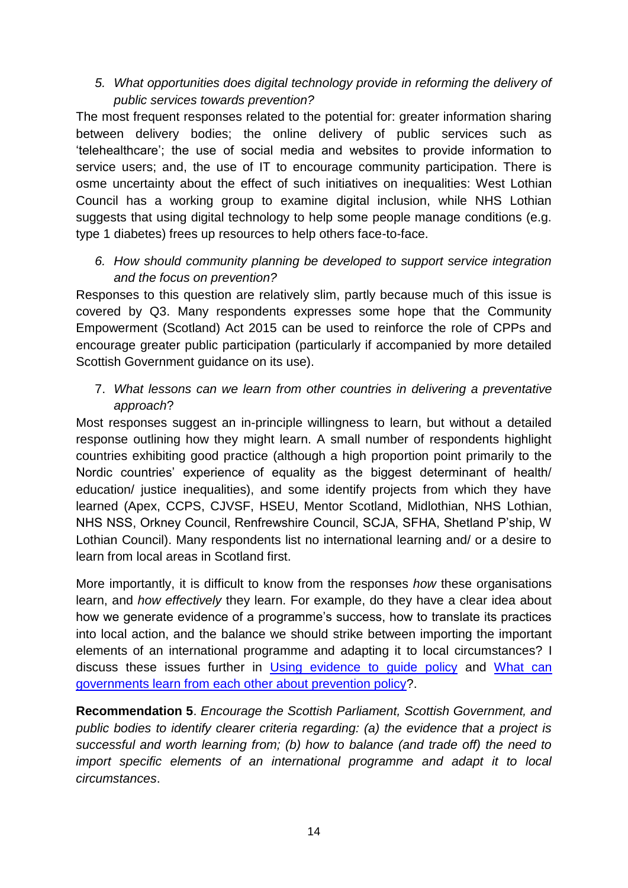*5. What opportunities does digital technology provide in reforming the delivery of public services towards prevention?* 

The most frequent responses related to the potential for: greater information sharing between delivery bodies; the online delivery of public services such as 'telehealthcare'; the use of social media and websites to provide information to service users; and, the use of IT to encourage community participation. There is osme uncertainty about the effect of such initiatives on inequalities: West Lothian Council has a working group to examine digital inclusion, while NHS Lothian suggests that using digital technology to help some people manage conditions (e.g. type 1 diabetes) frees up resources to help others face-to-face.

*6. How should community planning be developed to support service integration and the focus on prevention?* 

Responses to this question are relatively slim, partly because much of this issue is covered by Q3. Many respondents expresses some hope that the Community Empowerment (Scotland) Act 2015 can be used to reinforce the role of CPPs and encourage greater public participation (particularly if accompanied by more detailed Scottish Government guidance on its use).

7. *What lessons can we learn from other countries in delivering a preventative approach*?

Most responses suggest an in-principle willingness to learn, but without a detailed response outlining how they might learn. A small number of respondents highlight countries exhibiting good practice (although a high proportion point primarily to the Nordic countries' experience of equality as the biggest determinant of health/ education/ justice inequalities), and some identify projects from which they have learned (Apex, CCPS, CJVSF, HSEU, Mentor Scotland, Midlothian, NHS Lothian, NHS NSS, Orkney Council, Renfrewshire Council, SCJA, SFHA, Shetland P'ship, W Lothian Council). Many respondents list no international learning and/ or a desire to learn from local areas in Scotland first.

More importantly, it is difficult to know from the responses *how* these organisations learn, and *how effectively* they learn. For example, do they have a clear idea about how we generate evidence of a programme's success, how to translate its practices into local action, and the balance we should strike between importing the important elements of an international programme and adapting it to local circumstances? I discuss these issues further in [Using evidence to guide policy](https://paulcairney.files.wordpress.com/2015/09/cairney-2015-lgiu-using-evidence-for-policy.pdf) and [What can](https://paulcairney.files.wordpress.com/2015/09/cairney-2015-what-can-governments-learn-from-each-other-about-prevention-policy.pdf)  [governments learn from each other about prevention policy?](https://paulcairney.files.wordpress.com/2015/09/cairney-2015-what-can-governments-learn-from-each-other-about-prevention-policy.pdf).

**Recommendation 5**. *Encourage the Scottish Parliament, Scottish Government, and public bodies to identify clearer criteria regarding: (a) the evidence that a project is successful and worth learning from; (b) how to balance (and trade off) the need to import specific elements of an international programme and adapt it to local circumstances*.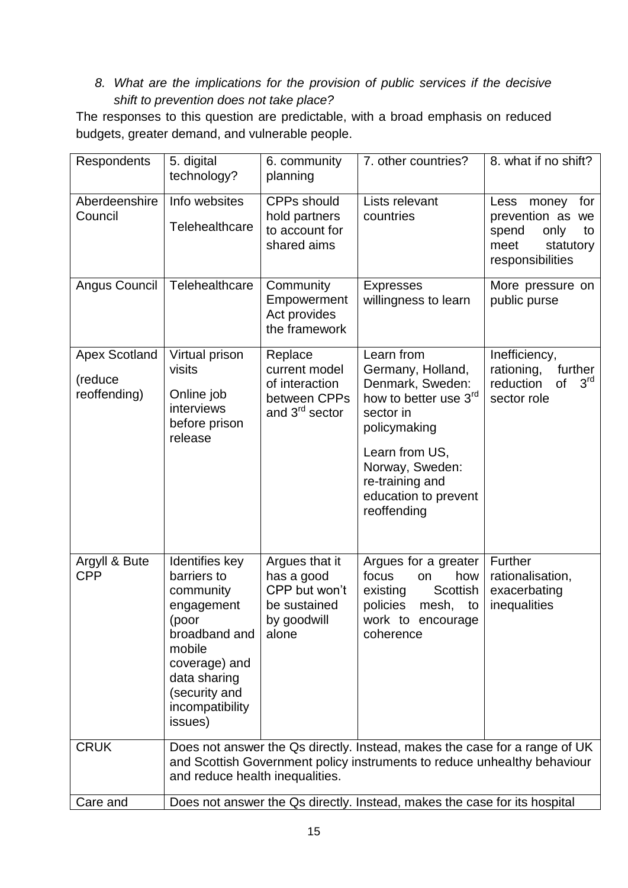## *8. What are the implications for the provision of public services if the decisive shift to prevention does not take place?*

The responses to this question are predictable, with a broad emphasis on reduced budgets, greater demand, and vulnerable people.

| Respondents                                     | 5. digital<br>technology?                                                                                                                                                    | 6. community<br>planning                                                                 | 7. other countries?                                                                                                                                                                                      | 8. what if no shift?                                                                                     |
|-------------------------------------------------|------------------------------------------------------------------------------------------------------------------------------------------------------------------------------|------------------------------------------------------------------------------------------|----------------------------------------------------------------------------------------------------------------------------------------------------------------------------------------------------------|----------------------------------------------------------------------------------------------------------|
| Aberdeenshire<br>Council                        | Info websites<br>Telehealthcare                                                                                                                                              | <b>CPPs should</b><br>hold partners<br>to account for<br>shared aims                     | Lists relevant<br>countries                                                                                                                                                                              | Less<br>for<br>money<br>prevention as we<br>spend<br>only<br>to<br>meet<br>statutory<br>responsibilities |
| Angus Council                                   | Telehealthcare                                                                                                                                                               | Community<br>Empowerment<br>Act provides<br>the framework                                | <b>Expresses</b><br>willingness to learn                                                                                                                                                                 | More pressure on<br>public purse                                                                         |
| <b>Apex Scotland</b><br>(reduce<br>reoffending) | Virtual prison<br>visits<br>Online job<br>interviews<br>before prison<br>release                                                                                             | Replace<br>current model<br>of interaction<br>between CPPs<br>and 3 <sup>rd</sup> sector | Learn from<br>Germany, Holland,<br>Denmark, Sweden:<br>how to better use 3rd<br>sector in<br>policymaking<br>Learn from US,<br>Norway, Sweden:<br>re-training and<br>education to prevent<br>reoffending | Inefficiency,<br>further<br>rationing,<br>$3^{\text{rd}}$<br>reduction<br>οf<br>sector role              |
| Argyll & Bute<br><b>CPP</b>                     | Identifies key<br>barriers to<br>community<br>engagement<br>(poor<br>broadband and<br>mobile<br>coverage) and<br>data sharing<br>(security and<br>incompatibility<br>issues) | Argues that it<br>has a good<br>CPP but won't<br>be sustained<br>by goodwill<br>alone    | Argues for a greater<br>focus<br>how<br>on<br><b>Scottish</b><br>existing<br>policies<br>mesh,<br>to<br>work to<br>encourage<br>coherence                                                                | Further<br>rationalisation,<br>exacerbating<br>inequalities                                              |
| <b>CRUK</b>                                     | and reduce health inequalities.                                                                                                                                              |                                                                                          | Does not answer the Qs directly. Instead, makes the case for a range of UK<br>and Scottish Government policy instruments to reduce unhealthy behaviour                                                   |                                                                                                          |
| Care and                                        | Does not answer the Qs directly. Instead, makes the case for its hospital                                                                                                    |                                                                                          |                                                                                                                                                                                                          |                                                                                                          |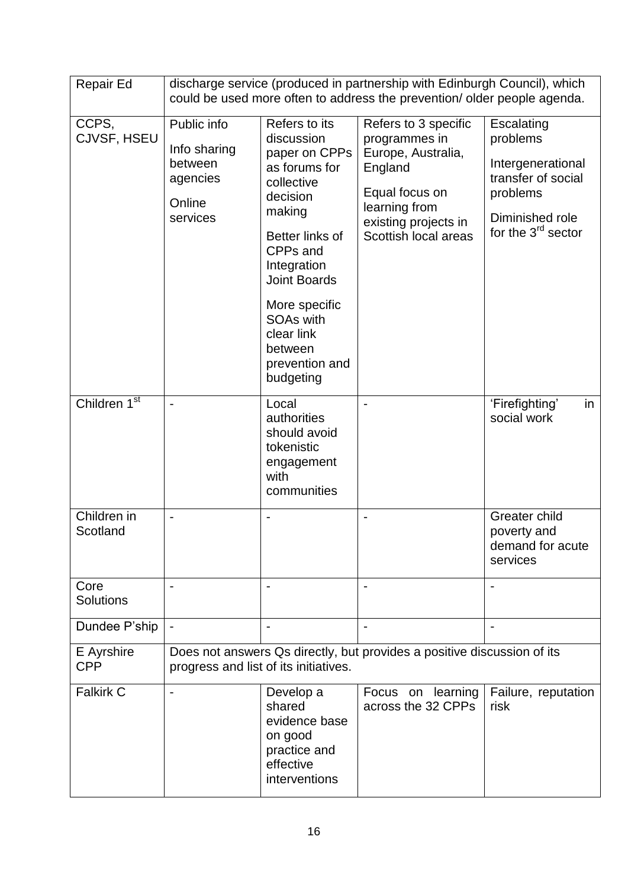| Repair Ed                | discharge service (produced in partnership with Edinburgh Council), which<br>could be used more often to address the prevention/ older people agenda. |                                                                                                                                                                                                                                                                     |                                                                                                                                                           |                                                                                                                          |
|--------------------------|-------------------------------------------------------------------------------------------------------------------------------------------------------|---------------------------------------------------------------------------------------------------------------------------------------------------------------------------------------------------------------------------------------------------------------------|-----------------------------------------------------------------------------------------------------------------------------------------------------------|--------------------------------------------------------------------------------------------------------------------------|
| CCPS,<br>CJVSF, HSEU     | Public info<br>Info sharing<br>between<br>agencies<br>Online<br>services                                                                              | Refers to its<br>discussion<br>paper on CPPs<br>as forums for<br>collective<br>decision<br>making<br>Better links of<br>CPPs and<br>Integration<br><b>Joint Boards</b><br>More specific<br><b>SOAs with</b><br>clear link<br>between<br>prevention and<br>budgeting | Refers to 3 specific<br>programmes in<br>Europe, Australia,<br>England<br>Equal focus on<br>learning from<br>existing projects in<br>Scottish local areas | Escalating<br>problems<br>Intergenerational<br>transfer of social<br>problems<br>Diminished role<br>for the $3rd$ sector |
| Children 1 <sup>st</sup> | $\overline{\phantom{a}}$                                                                                                                              | Local<br>authorities<br>should avoid<br>tokenistic<br>engagement<br>with<br>communities                                                                                                                                                                             | $\overline{\phantom{a}}$                                                                                                                                  | 'Firefighting'<br>in<br>social work                                                                                      |
| Children in<br>Scotland  | $\overline{a}$                                                                                                                                        |                                                                                                                                                                                                                                                                     |                                                                                                                                                           | Greater child<br>poverty and<br>demand for acute<br>services                                                             |
| Core<br><b>Solutions</b> | $\overline{\phantom{a}}$                                                                                                                              | $\blacksquare$                                                                                                                                                                                                                                                      |                                                                                                                                                           |                                                                                                                          |
| Dundee P'ship            | $\blacksquare$                                                                                                                                        |                                                                                                                                                                                                                                                                     |                                                                                                                                                           |                                                                                                                          |
| E Ayrshire<br><b>CPP</b> | Does not answers Qs directly, but provides a positive discussion of its<br>progress and list of its initiatives.                                      |                                                                                                                                                                                                                                                                     |                                                                                                                                                           |                                                                                                                          |
| <b>Falkirk C</b>         |                                                                                                                                                       | Develop a<br>shared<br>evidence base<br>on good<br>practice and<br>effective<br>interventions                                                                                                                                                                       | Focus on learning<br>across the 32 CPPs                                                                                                                   | Failure, reputation<br>risk                                                                                              |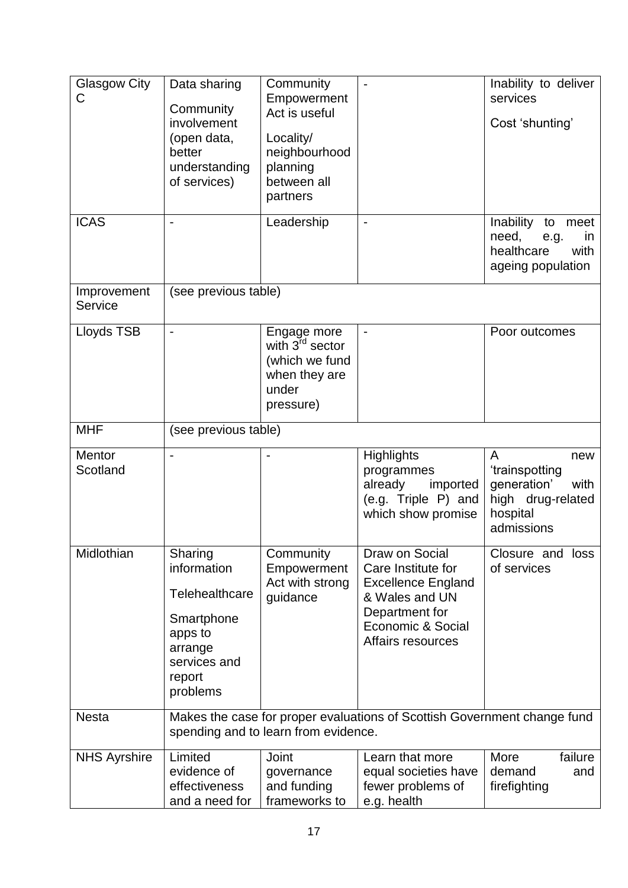| <b>Glasgow City</b><br>C | Data sharing<br>Community<br>involvement<br>(open data,<br>better<br>understanding<br>of services)                 | Community<br>Empowerment<br>Act is useful<br>Locality/<br>neighbourhood<br>planning<br>between all<br>partners |                                                                                                                                                 | Inability to deliver<br>services<br>Cost 'shunting'                                              |
|--------------------------|--------------------------------------------------------------------------------------------------------------------|----------------------------------------------------------------------------------------------------------------|-------------------------------------------------------------------------------------------------------------------------------------------------|--------------------------------------------------------------------------------------------------|
| <b>ICAS</b>              | $\overline{\phantom{0}}$                                                                                           | Leadership                                                                                                     |                                                                                                                                                 | Inability to meet<br>need,<br>e.g.<br>in<br>healthcare<br>with<br>ageing population              |
| Improvement<br>Service   | (see previous table)                                                                                               |                                                                                                                |                                                                                                                                                 |                                                                                                  |
| Lloyds TSB               | $\overline{a}$                                                                                                     | Engage more<br>with 3 <sup>rd</sup> sector<br>(which we fund<br>when they are<br>under<br>pressure)            |                                                                                                                                                 | Poor outcomes                                                                                    |
| <b>MHF</b>               | (see previous table)                                                                                               |                                                                                                                |                                                                                                                                                 |                                                                                                  |
| Mentor<br>Scotland       | $\overline{\phantom{0}}$                                                                                           | $\qquad \qquad \blacksquare$                                                                                   | <b>Highlights</b><br>programmes<br>already<br>imported<br>(e.g. Triple P) and<br>which show promise                                             | A<br>new<br>'trainspotting<br>generation'<br>with<br>high drug-related<br>hospital<br>admissions |
| Midlothian               | Sharing<br>information<br>Telehealthcare<br>Smartphone<br>apps to<br>arrange<br>services and<br>report<br>problems | Community<br>Empowerment<br>Act with strong<br>guidance                                                        | Draw on Social<br>Care Institute for<br><b>Excellence England</b><br>& Wales and UN<br>Department for<br>Economic & Social<br>Affairs resources | Closure and loss<br>of services                                                                  |
| <b>Nesta</b>             |                                                                                                                    | spending and to learn from evidence.                                                                           | Makes the case for proper evaluations of Scottish Government change fund                                                                        |                                                                                                  |
| <b>NHS Ayrshire</b>      | Limited<br>evidence of<br>effectiveness<br>and a need for                                                          | Joint<br>governance<br>and funding<br>frameworks to                                                            | Learn that more<br>equal societies have<br>fewer problems of<br>e.g. health                                                                     | More<br>failure<br>demand<br>and<br>firefighting                                                 |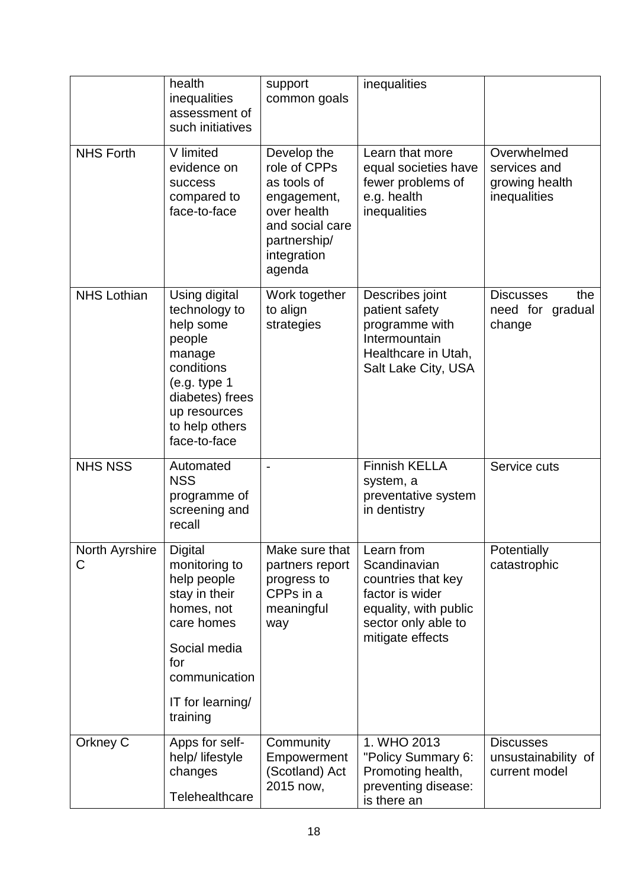|                     | health<br>inequalities<br>assessment of<br>such initiatives                                                                                                         | support<br>common goals                                                                                                              | inequalities                                                                                                                            |                                                               |
|---------------------|---------------------------------------------------------------------------------------------------------------------------------------------------------------------|--------------------------------------------------------------------------------------------------------------------------------------|-----------------------------------------------------------------------------------------------------------------------------------------|---------------------------------------------------------------|
| <b>NHS Forth</b>    | V limited<br>evidence on<br><b>success</b><br>compared to<br>face-to-face                                                                                           | Develop the<br>role of CPPs<br>as tools of<br>engagement,<br>over health<br>and social care<br>partnership/<br>integration<br>agenda | Learn that more<br>equal societies have<br>fewer problems of<br>e.g. health<br>inequalities                                             | Overwhelmed<br>services and<br>growing health<br>inequalities |
| <b>NHS Lothian</b>  | Using digital<br>technology to<br>help some<br>people<br>manage<br>conditions<br>(e.g. type 1)<br>diabetes) frees<br>up resources<br>to help others<br>face-to-face | Work together<br>to align<br>strategies                                                                                              | Describes joint<br>patient safety<br>programme with<br>Intermountain<br>Healthcare in Utah,<br>Salt Lake City, USA                      | <b>Discusses</b><br>the<br>need for gradual<br>change         |
| <b>NHS NSS</b>      | Automated<br><b>NSS</b><br>programme of<br>screening and<br>recall                                                                                                  |                                                                                                                                      | <b>Finnish KELLA</b><br>system, a<br>preventative system<br>in dentistry                                                                | Service cuts                                                  |
| North Ayrshire<br>С | <b>Digital</b><br>monitoring to<br>help people<br>stay in their<br>homes, not<br>care homes<br>Social media<br>for<br>communication<br>IT for learning/<br>training | Make sure that<br>partners report<br>progress to<br>CPPs in a<br>meaningful<br>way                                                   | Learn from<br>Scandinavian<br>countries that key<br>factor is wider<br>equality, with public<br>sector only able to<br>mitigate effects | Potentially<br>catastrophic                                   |
| Orkney C            | Apps for self-<br>help/ lifestyle<br>changes<br>Telehealthcare                                                                                                      | Community<br>Empowerment<br>(Scotland) Act<br>2015 now,                                                                              | 1. WHO 2013<br>"Policy Summary 6:<br>Promoting health,<br>preventing disease:<br>is there an                                            | <b>Discusses</b><br>unsustainability of<br>current model      |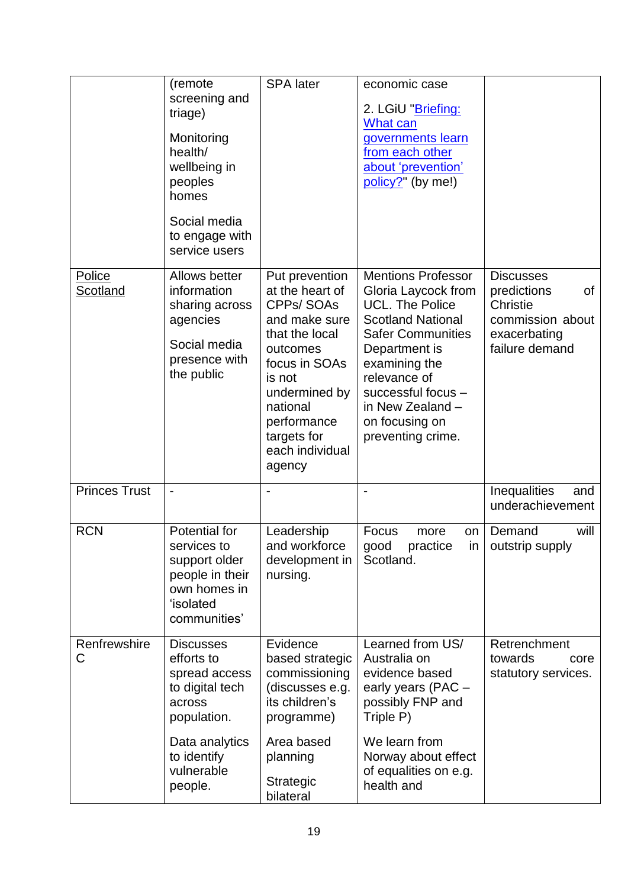|                      | (remote<br>screening and<br>triage)<br>Monitoring<br>health/<br>wellbeing in<br>peoples<br>homes<br>Social media<br>to engage with<br>service users   | <b>SPA</b> later                                                                                                                                                                                                 | economic case<br>2. LGiU "Briefing:<br>What can<br>governments learn<br>from each other<br>about 'prevention'<br>policy?" (by me!)                                                                                                                             |                                                                                                         |
|----------------------|-------------------------------------------------------------------------------------------------------------------------------------------------------|------------------------------------------------------------------------------------------------------------------------------------------------------------------------------------------------------------------|----------------------------------------------------------------------------------------------------------------------------------------------------------------------------------------------------------------------------------------------------------------|---------------------------------------------------------------------------------------------------------|
| Police<br>Scotland   | Allows better<br>information<br>sharing across<br>agencies<br>Social media<br>presence with<br>the public                                             | Put prevention<br>at the heart of<br>CPPs/SOAs<br>and make sure<br>that the local<br>outcomes<br>focus in SOAs<br>is not<br>undermined by<br>national<br>performance<br>targets for<br>each individual<br>agency | <b>Mentions Professor</b><br>Gloria Laycock from<br>UCL. The Police<br><b>Scotland National</b><br><b>Safer Communities</b><br>Department is<br>examining the<br>relevance of<br>successful focus -<br>in New Zealand -<br>on focusing on<br>preventing crime. | <b>Discusses</b><br>predictions<br>of<br>Christie<br>commission about<br>exacerbating<br>failure demand |
| <b>Princes Trust</b> | $\overline{\phantom{0}}$                                                                                                                              |                                                                                                                                                                                                                  |                                                                                                                                                                                                                                                                | Inequalities<br>and<br>underachievement                                                                 |
| <b>RCN</b>           | Potential for<br>services to<br>support older<br>people in their<br>own homes in<br>'isolated<br>communities'                                         | Leadership<br>and workforce<br>development in<br>nursing.                                                                                                                                                        | Focus<br>more<br>on<br>good practice in outstrip supply<br>Scotland.                                                                                                                                                                                           | Demand<br>will                                                                                          |
| Renfrewshire<br>C    | <b>Discusses</b><br>efforts to<br>spread access<br>to digital tech<br>across<br>population.<br>Data analytics<br>to identify<br>vulnerable<br>people. | Evidence<br>based strategic<br>commissioning<br>(discusses e.g.<br>its children's<br>programme)<br>Area based<br>planning<br><b>Strategic</b><br>bilateral                                                       | Learned from US/<br>Australia on<br>evidence based<br>early years (PAC -<br>possibly FNP and<br>Triple P)<br>We learn from<br>Norway about effect<br>of equalities on e.g.<br>health and                                                                       | Retrenchment<br>towards<br>core<br>statutory services.                                                  |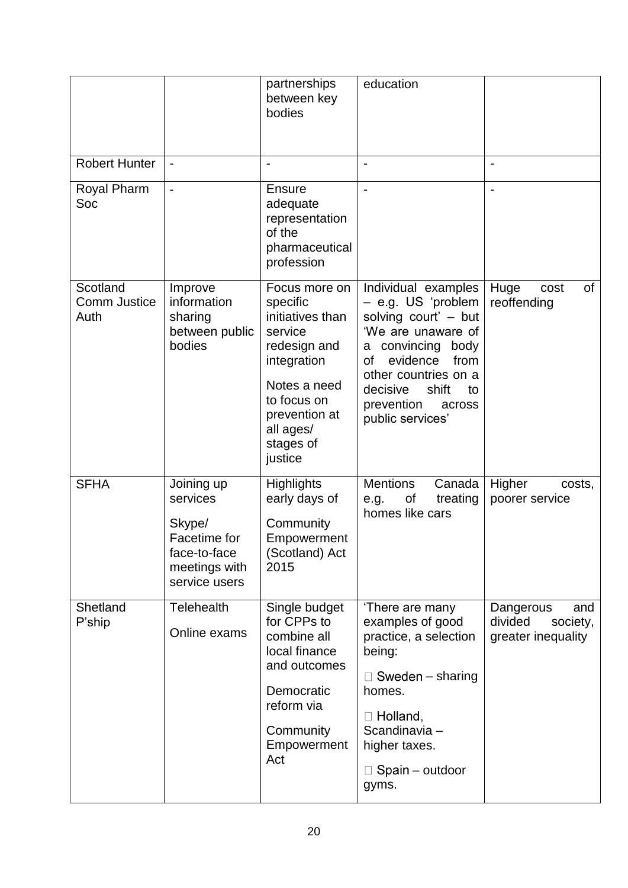|                                  |                                                                                                    | partnerships<br>between key<br>bodies                                                                                                                                        | education                                                                                                                                                                                                                                       |                                                               |
|----------------------------------|----------------------------------------------------------------------------------------------------|------------------------------------------------------------------------------------------------------------------------------------------------------------------------------|-------------------------------------------------------------------------------------------------------------------------------------------------------------------------------------------------------------------------------------------------|---------------------------------------------------------------|
| <b>Robert Hunter</b>             | $\overline{\phantom{a}}$                                                                           |                                                                                                                                                                              |                                                                                                                                                                                                                                                 |                                                               |
| Royal Pharm<br>Soc               | $\blacksquare$                                                                                     | Ensure<br>adequate<br>representation<br>of the<br>pharmaceutical<br>profession                                                                                               | $\overline{\phantom{a}}$                                                                                                                                                                                                                        | $\overline{\phantom{0}}$                                      |
| Scotland<br>Comm Justice<br>Auth | Improve<br>information<br>sharing<br>between public<br>bodies                                      | Focus more on<br>specific<br>initiatives than<br>service<br>redesign and<br>integration<br>Notes a need<br>to focus on<br>prevention at<br>all ages/<br>stages of<br>justice | Individual examples<br>- e.g. US 'problem<br>solving court' - but<br>'We are unaware of<br>convincing body<br>а<br>evidence<br>from<br><b>of</b><br>other countries on a<br>shift<br>decisive<br>to<br>prevention<br>across<br>public services' | of<br>Huge<br>cost<br>reoffending                             |
| <b>SFHA</b>                      | Joining up<br>services<br>Skype/<br>Facetime for<br>face-to-face<br>meetings with<br>service users | <b>Highlights</b><br>early days of<br>Community<br>Empowerment<br>(Scotland) Act<br>2015                                                                                     | <b>Mentions</b><br>Canada<br>treating<br>Οf<br>e.g.<br>homes like cars                                                                                                                                                                          | Higher<br>costs,<br>poorer service                            |
| Shetland<br>P'ship               | <b>Telehealth</b><br>Online exams                                                                  | Single budget<br>for CPPs to<br>combine all<br>local finance<br>and outcomes<br>Democratic<br>reform via<br>Community<br>Empowerment<br>Act                                  | 'There are many<br>examples of good<br>practice, a selection<br>being:<br>$\Box$ Sweden – sharing<br>homes.<br>$\Box$ Holland,<br>Scandinavia-<br>higher taxes.<br>$\Box$ Spain – outdoor<br>gyms.                                              | Dangerous<br>and<br>divided<br>society,<br>greater inequality |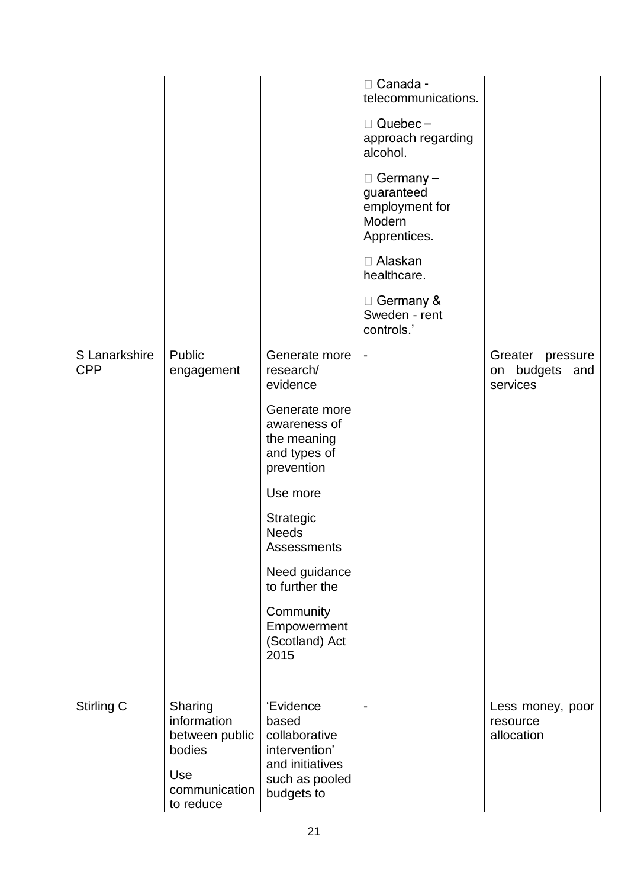|                             |                                                                                         |                                                                                                                                                                                                                                                                       | □ Canada -<br>telecommunications.<br>$\Box$ Quebec -<br>approach regarding<br>alcohol.<br>$\Box$ Germany –<br>guaranteed<br>employment for<br>Modern<br>Apprentices.<br>□ Alaskan<br>healthcare.<br>$\Box$ Germany &<br>Sweden - rent<br>controls.' |                                                   |
|-----------------------------|-----------------------------------------------------------------------------------------|-----------------------------------------------------------------------------------------------------------------------------------------------------------------------------------------------------------------------------------------------------------------------|-----------------------------------------------------------------------------------------------------------------------------------------------------------------------------------------------------------------------------------------------------|---------------------------------------------------|
| S Lanarkshire<br><b>CPP</b> | Public<br>engagement                                                                    | Generate more<br>research/<br>evidence<br>Generate more<br>awareness of<br>the meaning<br>and types of<br>prevention<br>Use more<br>Strategic<br><b>Needs</b><br>Assessments<br>Need guidance<br>to further the<br>Community<br>Empowerment<br>(Scotland) Act<br>2015 | $\overline{\phantom{a}}$                                                                                                                                                                                                                            | Greater pressure<br>on budgets<br>and<br>services |
| Stirling C                  | Sharing<br>information<br>between public<br>bodies<br>Use<br>communication<br>to reduce | 'Evidence<br>based<br>collaborative<br>intervention'<br>and initiatives<br>such as pooled<br>budgets to                                                                                                                                                               | $\overline{\phantom{a}}$                                                                                                                                                                                                                            | Less money, poor<br>resource<br>allocation        |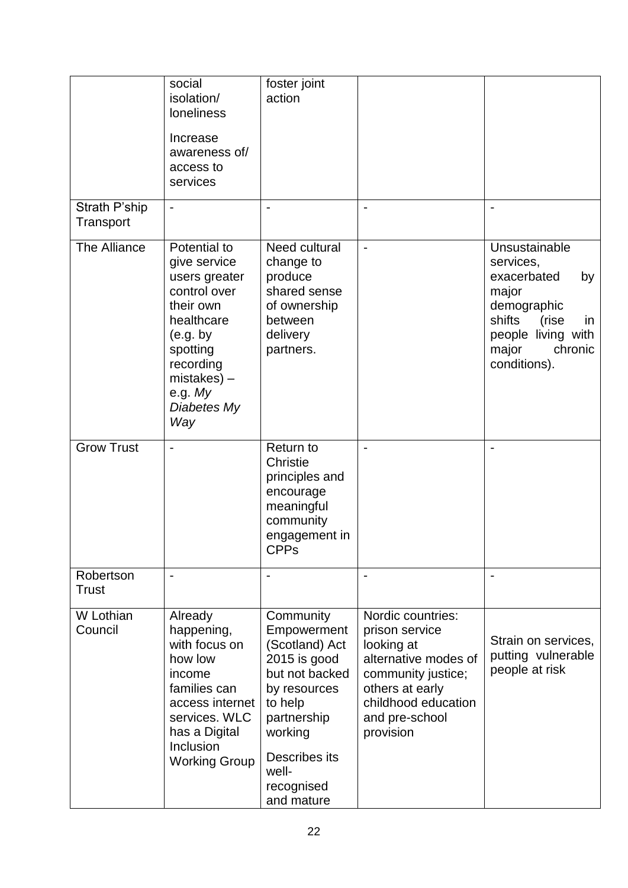|                            | social<br>isolation/<br><b>loneliness</b><br>Increase<br>awareness of/<br>access to<br>services                                                                                    | foster joint<br>action                                                                                                                                                                  |                                                                                                                                                                          |                                                                                                                                                            |
|----------------------------|------------------------------------------------------------------------------------------------------------------------------------------------------------------------------------|-----------------------------------------------------------------------------------------------------------------------------------------------------------------------------------------|--------------------------------------------------------------------------------------------------------------------------------------------------------------------------|------------------------------------------------------------------------------------------------------------------------------------------------------------|
| Strath P'ship<br>Transport |                                                                                                                                                                                    |                                                                                                                                                                                         |                                                                                                                                                                          |                                                                                                                                                            |
| The Alliance               | Potential to<br>give service<br>users greater<br>control over<br>their own<br>healthcare<br>(e.g. by<br>spotting<br>recording<br>$mistakes$ ) –<br>e.g. $My$<br>Diabetes My<br>Way | Need cultural<br>change to<br>produce<br>shared sense<br>of ownership<br>between<br>delivery<br>partners.                                                                               | $\blacksquare$                                                                                                                                                           | Unsustainable<br>services,<br>exacerbated<br>by<br>major<br>demographic<br>shifts<br>(rise<br>in<br>people living with<br>major<br>chronic<br>conditions). |
| <b>Grow Trust</b>          |                                                                                                                                                                                    | <b>Return to</b><br>Christie<br>principles and<br>encourage<br>meaningful<br>community<br>engagement in<br><b>CPPS</b>                                                                  |                                                                                                                                                                          |                                                                                                                                                            |
| Robertson<br><b>Trust</b>  | $\overline{\phantom{a}}$                                                                                                                                                           |                                                                                                                                                                                         |                                                                                                                                                                          | $\overline{\phantom{a}}$                                                                                                                                   |
| W Lothian<br>Council       | Already<br>happening,<br>with focus on<br>how low<br>income<br>families can<br>access internet<br>services. WLC<br>has a Digital<br>Inclusion<br><b>Working Group</b>              | Community<br>Empowerment<br>(Scotland) Act<br>2015 is good<br>but not backed<br>by resources<br>to help<br>partnership<br>working<br>Describes its<br>well-<br>recognised<br>and mature | Nordic countries:<br>prison service<br>looking at<br>alternative modes of<br>community justice;<br>others at early<br>childhood education<br>and pre-school<br>provision | Strain on services,<br>putting vulnerable<br>people at risk                                                                                                |